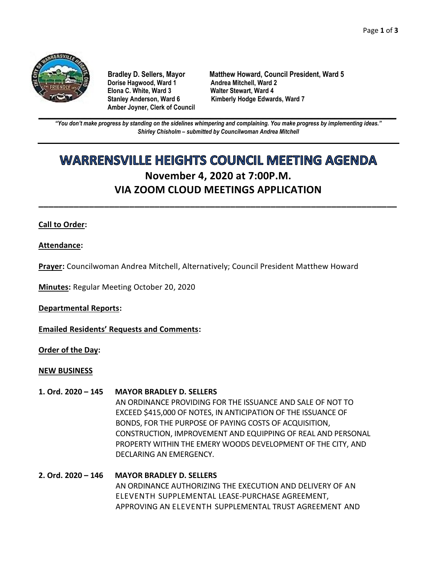

**Dorise Hagwood, Ward 1 Elona C. White, Ward 3 Walter Stewart, Ward 4 Amber Joyner, Clerk of Council**

**Bradley D. Sellers, Mayor Matthew Howard, Council President, Ward 5** Stanley Anderson, Ward 6 Kimberly Hodge Edwards, Ward 7

**\_\_\_\_\_\_\_\_\_\_\_\_\_\_\_\_\_\_\_\_\_\_\_\_\_\_\_\_\_\_\_\_\_\_\_\_\_\_\_\_\_\_\_\_\_\_\_\_\_\_\_\_\_\_\_\_\_\_\_\_\_\_\_\_\_\_\_\_\_\_\_\_\_\_\_\_\_\_\_\_\_\_\_\_\_\_\_\_\_\_\_\_\_\_\_\_\_\_\_\_\_\_\_\_\_\_\_\_\_\_** *"You don't make progress by standing on the sidelines whimpering and complaining. You make progress by implementing ideas." Shirley Chisholm – submitted by Councilwoman Andrea Mitchell*

# **WARRENSVILLE HEIGHTS COUNCIL MEETING AGENDA November 4, 2020 at 7:00P.M. VIA ZOOM CLOUD MEETINGS APPLICATION**

**\_\_\_\_\_\_\_\_\_\_\_\_\_\_\_\_\_\_\_\_\_\_\_\_\_\_\_\_\_\_\_\_\_\_\_\_\_\_\_\_\_\_\_\_\_\_\_\_\_\_\_\_\_\_\_\_\_\_\_\_\_\_\_\_\_\_\_\_\_\_\_**

## **Call to Order:**

**Attendance:**

**Prayer:** Councilwoman Andrea Mitchell, Alternatively; Council President Matthew Howard

**Minutes:** Regular Meeting October 20, 2020

**Departmental Reports:**

**Emailed Residents' Requests and Comments:**

**Order of the Day:**

## **NEW BUSINESS**

**1. Ord. 2020 – 145 MAYOR BRADLEY D. SELLERS**

AN ORDINANCE PROVIDING FOR THE ISSUANCE AND SALE OF NOT TO EXCEED \$415,000 OF NOTES, IN ANTICIPATION OF THE ISSUANCE OF BONDS, FOR THE PURPOSE OF PAYING COSTS OF ACQUISITION, CONSTRUCTION, IMPROVEMENT AND EQUIPPING OF REAL AND PERSONAL PROPERTY WITHIN THE EMERY WOODS DEVELOPMENT OF THE CITY, AND DECLARING AN EMERGENCY.

## **2. Ord. 2020 – 146 MAYOR BRADLEY D. SELLERS** AN ORDINANCE AUTHORIZING THE EXECUTION AND DELIVERY OF AN ELEVENTH SUPPLEMENTAL LEASE-PURCHASE AGREEMENT, APPROVING AN ELEVENTH SUPPLEMENTAL TRUST AGREEMENT AND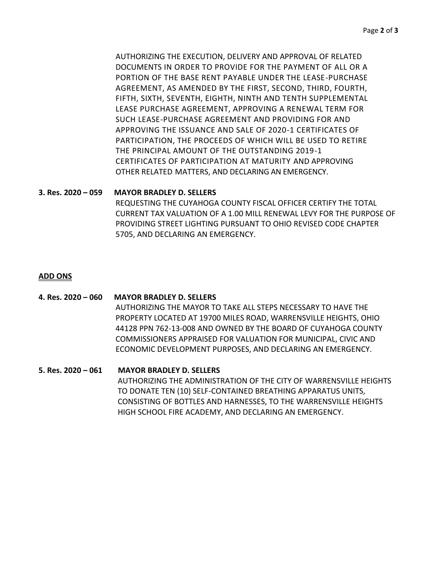AUTHORIZING THE EXECUTION, DELIVERY AND APPROVAL OF RELATED DOCUMENTS IN ORDER TO PROVIDE FOR THE PAYMENT OF ALL OR A PORTION OF THE BASE RENT PAYABLE UNDER THE LEASE-PURCHASE AGREEMENT, AS AMENDED BY THE FIRST, SECOND, THIRD, FOURTH, FIFTH, SIXTH, SEVENTH, EIGHTH, NINTH AND TENTH SUPPLEMENTAL LEASE PURCHASE AGREEMENT, APPROVING A RENEWAL TERM FOR SUCH LEASE-PURCHASE AGREEMENT AND PROVIDING FOR AND APPROVING THE ISSUANCE AND SALE OF 2020-1 CERTIFICATES OF PARTICIPATION, THE PROCEEDS OF WHICH WILL BE USED TO RETIRE THE PRINCIPAL AMOUNT OF THE OUTSTANDING 2019-1 CERTIFICATES OF PARTICIPATION AT MATURITY AND APPROVING OTHER RELATED MATTERS, AND DECLARING AN EMERGENCY.

## **3. Res. 2020 – 059 MAYOR BRADLEY D. SELLERS**

REQUESTING THE CUYAHOGA COUNTY FISCAL OFFICER CERTIFY THE TOTAL CURRENT TAX VALUATION OF A 1.00 MILL RENEWAL LEVY FOR THE PURPOSE OF PROVIDING STREET LIGHTING PURSUANT TO OHIO REVISED CODE CHAPTER 5705, AND DECLARING AN EMERGENCY.

## **ADD ONS**

**4. Res. 2020 – 060 MAYOR BRADLEY D. SELLERS** AUTHORIZING THE MAYOR TO TAKE ALL STEPS NECESSARY TO HAVE THE PROPERTY LOCATED AT 19700 MILES ROAD, WARRENSVILLE HEIGHTS, OHIO 44128 PPN 762-13-008 AND OWNED BY THE BOARD OF CUYAHOGA COUNTY COMMISSIONERS APPRAISED FOR VALUATION FOR MUNICIPAL, CIVIC AND ECONOMIC DEVELOPMENT PURPOSES, AND DECLARING AN EMERGENCY.

## **5. Res. 2020 – 061 MAYOR BRADLEY D. SELLERS**

AUTHORIZING THE ADMINISTRATION OF THE CITY OF WARRENSVILLE HEIGHTS TO DONATE TEN (10) SELF-CONTAINED BREATHING APPARATUS UNITS, CONSISTING OF BOTTLES AND HARNESSES, TO THE WARRENSVILLE HEIGHTS HIGH SCHOOL FIRE ACADEMY, AND DECLARING AN EMERGENCY.